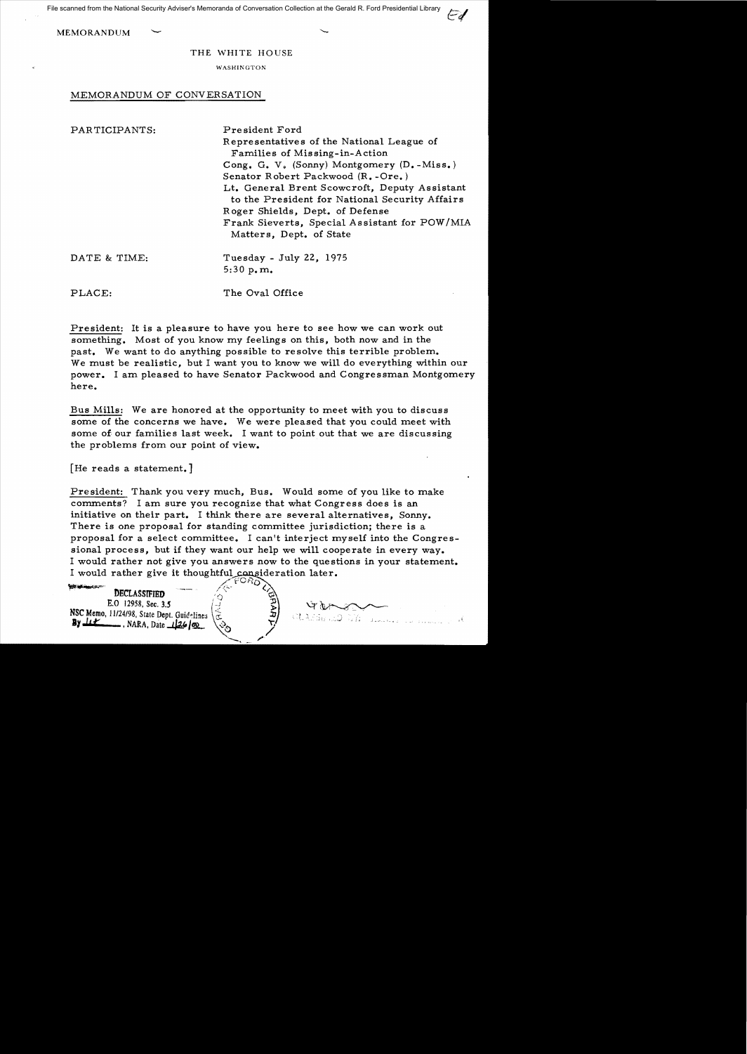File scanned from the National Security Adviser's Memoranda of Conversation Collection at the Gerald R. Ford Presidential Library

**MEMORANDUM** 

THE WHITE HOUSE

WASHINGTON

## MEMORANDUM OF CONVERSATION

| PARTICIPANTS: | President Ford                                 |
|---------------|------------------------------------------------|
|               | Representatives of the National League of      |
|               | Families of Missing-in-Action                  |
|               | Cong. G. V. (Sonny) Montgomery (D.-Miss.)      |
|               | Senator Robert Packwood (R.-Ore.)              |
|               | Lt. General Brent Scowcroft, Deputy Assistant  |
|               | to the President for National Security Affairs |
|               | Roger Shields, Dept. of Defense                |
|               | Frank Sieverts, Special Assistant for POW/MIA  |
|               | Matters, Dept. of State                        |
| DATE & TIME:  | Tuesday - July 22, 1975                        |
|               | 5:30 $p, m$ .                                  |
| PLACE:        | The Oval Office                                |

President: It is a pleasure to have you here to see how we can work out something. Most of you know my feelings on this, both now and in the past. We want to do anything possible to resolve this terrible problem. We must be realistic, but I want you to know we will do everything within our power. I am pleased to have Senator Packwood and Congressman Montgomery here.

Bus Mills: We are honored at the opportunity to meet with you to discuss some of the concerns we have. We were pleased that you could meet with some of our families last week. I want to point out that we are discussing the problems from our point of view.

[He reads a statement.]

President: Thank you very much, Bus. Would some of you like to make comments? I am sure you recognize that what Congress does is an initiative on their part. I think there are several alternatives, Sonny. There is one proposal for standing committee jurisdiction; there is a proposal for a select committee. I can't interject myself into the Congressional process, but if they want our help we will cooperate in every way. I would rather not give you answers now to the questions in your statement. I would rather give it thoughtful consideration later.

 $\overline{a}$ 

WE DECLASSIFIED SECOND **DECLASSIFIED**<br>E.O 12958, Sec. 3.5 NSC Memo, 11/24/98, State Dept. Guidelines ( 5)<br>**By** <u>It A</u>, NARA, Date...126 ( 3)

**CLASSERS**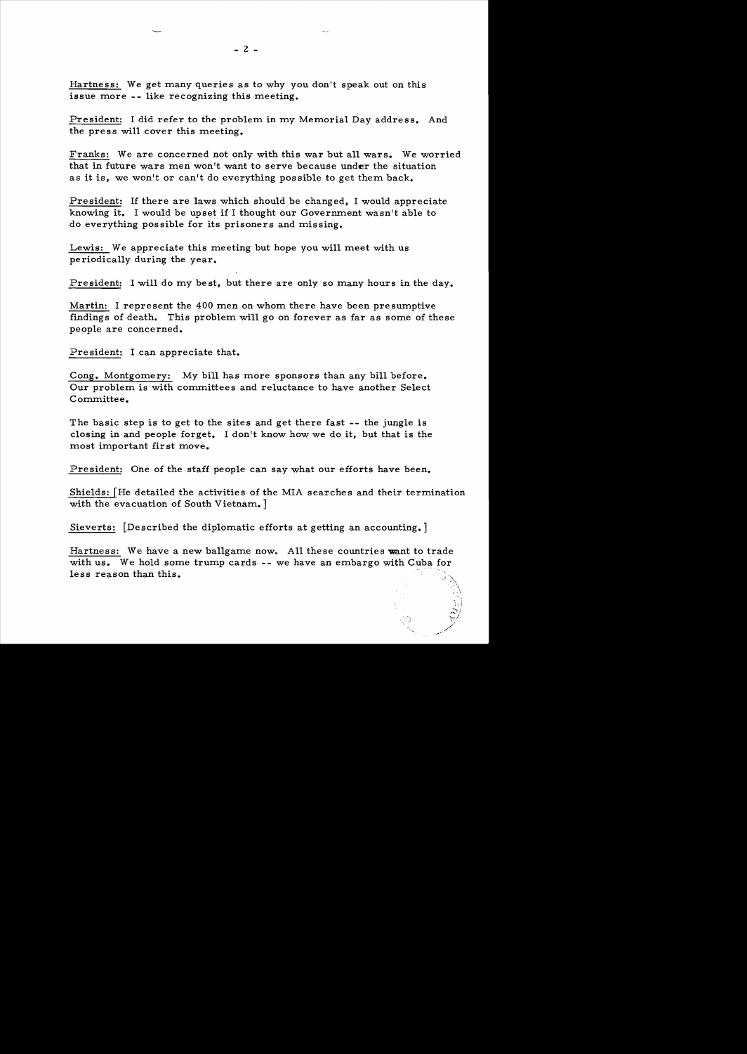Hartness: We get many queries as to why you don't speak out on this issue more -- like recognizing this meeting.

President: I did refer to the problem in my Memorial Day address. And the press will cover this meeting.

Franks: We are concerned not only with this war but all wars. We worried that in future wars men won't want to serve because under the situation as it is, we won't or can't do everything possible to get them back.

Pre sident: If there are laws which should be changed, I would appreciate knowing it. I would be upset if I thought our Government wasn't able to do everything possible for its prisoners and missing.

Lewis: We appreciate this meeting but hope you will meet with us periodically during the year.

President: I will do my best, but there are only so many hours in the day.

Martin: I represent the 400 men on whom there have been presumptive findings of death. This problem will go on forever as far as some of these people are concerned.

Pre sident: I can appreciate that.

Cong. Montgomery: My bill has more sponsors than any bill before. Our problem is with committees and reluctance to have another Select Committee.

The basic step is to get to the sites and get there fast -- the jungle is closing in and people forget. I don't know how we do it, but that is the most important first move.

President: One of the staff people can say what our efforts have been.

Shields:  $[He detailed the activities of the MIA searches and their termination$ with the evacuation of South Vietnam. ]

Sieverts: [Described the diplomatic efforts at getting an accounting.]

Hartness: We have a new ballgame now. All these countries want to trade with us. We hold some trump cards  $-$ - we have an embargo with Cuba for less reason than this.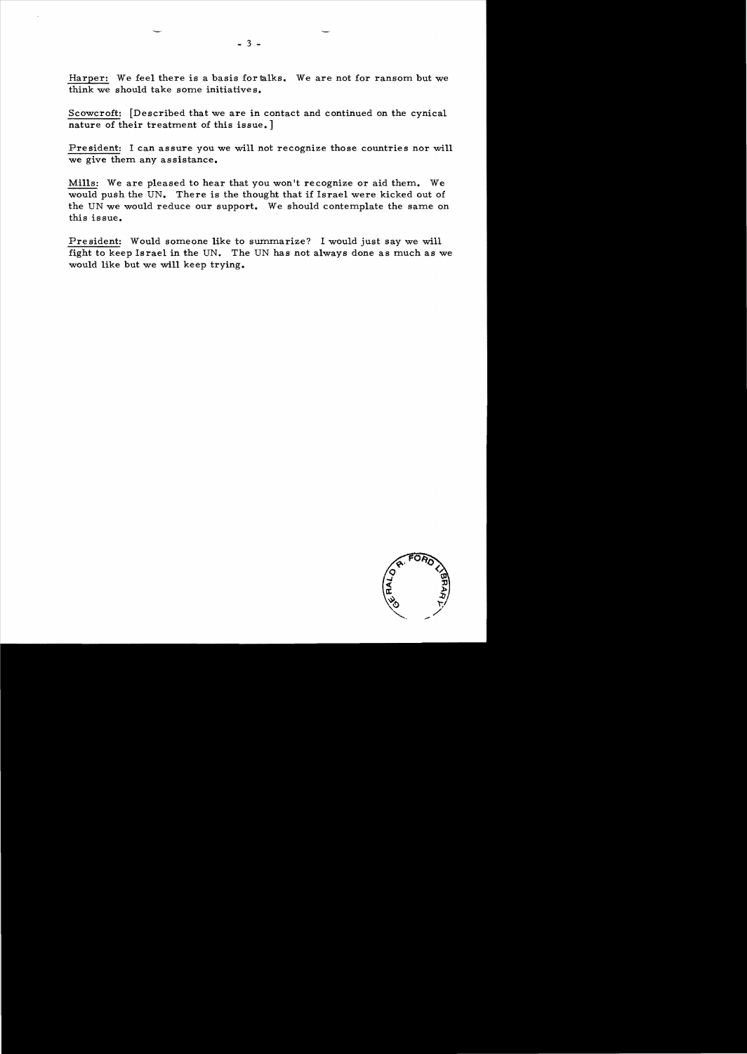Harper: We feel there is a basis for talks. We are not for ransom but we think we should take some initiatives.

Scowcroft: [Described that we are in contact and continued on the cynical nature of their treatment of this issue. ]

President: I can assure you we will not recognize those countries nor will we give them any assistance.

Mills: We are pleased to hear that you won't recognize or aid them. We would push the UN. There is the thought that if Israel were kicked out of the UN we would reduce our support. We should contemplate the same on this issue.

President: Would someone like to summarize? I would just say we will fight to keep Israel in the UN. The UN has not always done as much as we would like but we will keep trying.

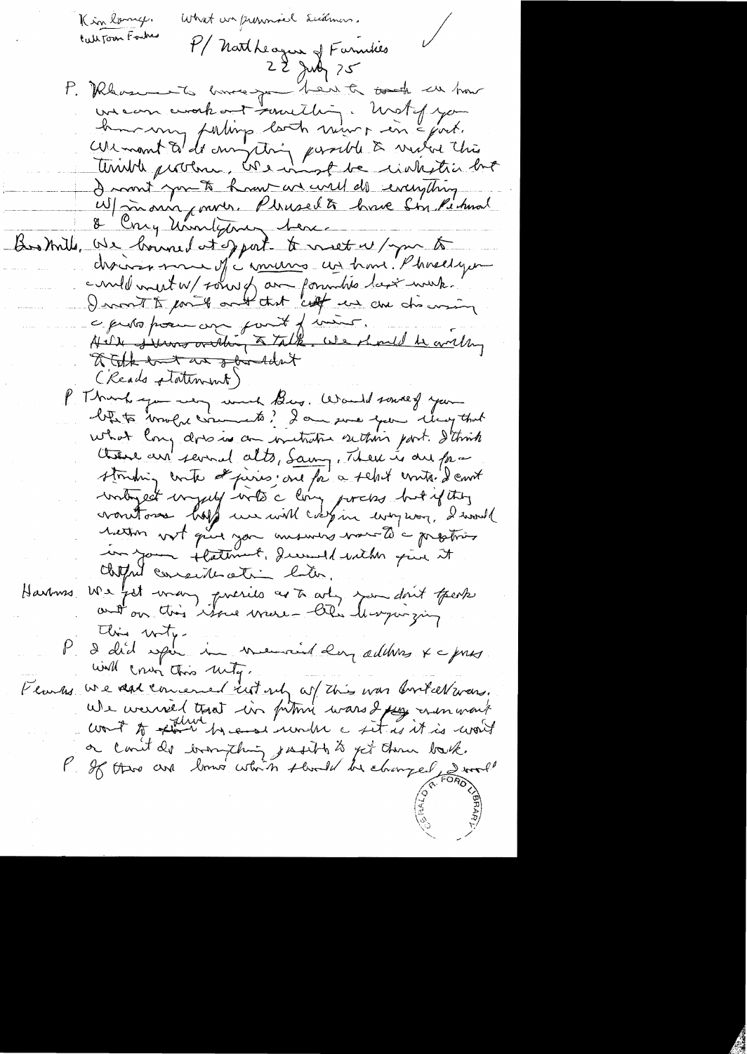What we pronnicl Sudmens. Kin lang. Call Tour Forches P/ Natheague of Farmises P. Rhosen to have you bent to took at how uncan avakont samething. Unstof you home my parling look mor in Epoch. curmont à de moyeting passible à mére this I mont you to have an well do everything W/ main cours. Pleuselt have Sin Pihmal 8 Cong Unolyman ben Bostrills, We bound at sport to meet w/ you to discours more of comments us home Phoelique could mest W/ Four of an formulite last week." a proto poém avec point d'insur.<br>Au de se servit de talk, use double avec les a tak but an shirtdat (Reads platement) P. Thank you want Bus. Would source of your blets mold cruments? I am since your cloughout what long does is an initiative setting part. I think there are several alts, Samy, There is one from stouding conte de pierres au fai a seloit conte d'envit writingest unjuly with a ling porcins but if they voutoire hoff un will coopin everpron, d'avail in your flatement, decount with give it chipped consideration bater. Harmes We fet man, precies as to art, par dont fresh this wity. P d'abid spère in meureur der addeus x a pris will crun this unity. Flanks we dat concerned rut up of this was bortellarans. We werned that in fitting wars I pay mon want count to plan by each render a sit is it is won't a carit de bronzhing justit à jet them took.<br>P 26 thre are brown which should be changed some!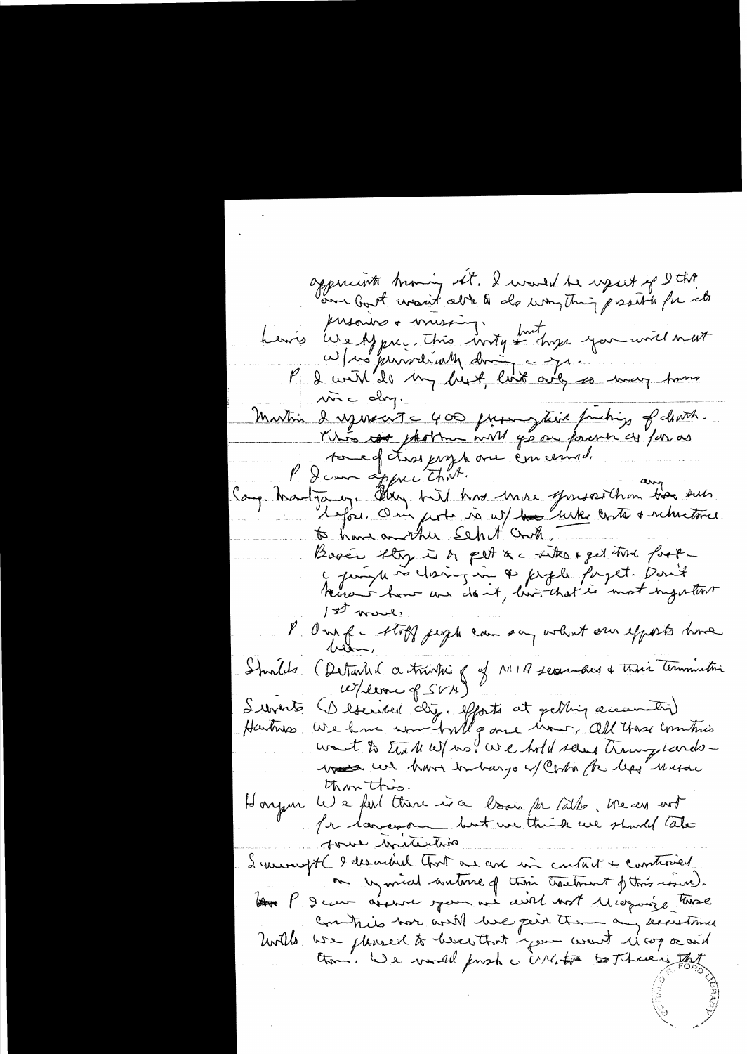appendants knowing all. I would be used if I thit henris use Af prec. This wity fort hope you will met<br>a few previously doing to you will next Martin d'agencert = 400 primer tient fonctions of cleared. touse fters proprie en course ! "<br>Canp Martgary. Aller with his more genseither des suis<br>le pair deux with the with like onto subsistence Bosés they is a pet a c the eget that forta juigt se clairez in a firste forget. Don't Hence i hour we don't, live that is most nightwr 1st work: l'One fe stoff jugli can son volent our efforts have Shoulds (Detailed a trivitie of MIA secundas & this terminative  $W/4$ erre of  $SVM$ (Described clip, efforts at getting accession)<br>We have worred will game wow , all these combins Iunits Hartmas want to the MW/ no! We hold seems througheredswas we have inbargo of Contra the legs mason thon this. Honjan le 2 fuil there is a book for latter. We can not Pa largeron but un think we should take some writerting 2 mesurat le 2 describirle Chort me avec min contait + constancée me un miral autome of their transment of this round. Au P. Deux aisnes jour me avril mot Morroise time Commis hor will live peint them any know times United we pleased to be actint your wort is cop or and them. We would finsh a UN. to to Three is that